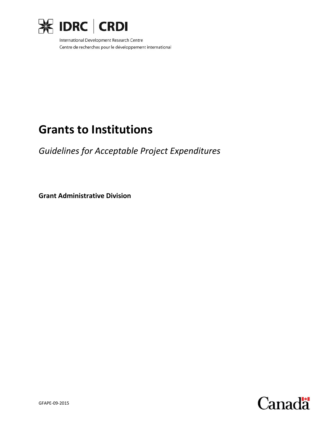

International Development Research Centre Centre de recherches pour le développement international

# **Grants to Institutions**

*Guidelines for Acceptable Project Expenditures*

**Grant Administrative Division**

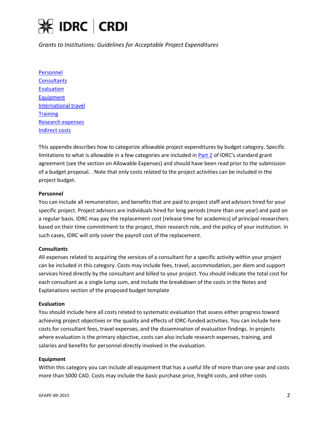

*Grants to Institutions: Guidelines for Acceptable Project Expenditures*

[Personnel](#page-1-0) **[Consultants](#page-1-1) [Evaluation](#page-1-2)** [Equipment](#page-1-3) [International travel](#page-2-0) **[Training](#page-2-1)** [Research expenses](#page-2-2) [Indirect](#page-2-3) costs

This appendix describes how to categorize allowable project expenditures by budget category. Specific limitations to what is allowable in a few categories are included in [Part 2](https://www.idrc.ca/sites/default/files/sp/Documents%20EN/resources/idrc-general-terms-and-conditions-of-agreement.pdf) of IDRC's standard grant agreement (see the section on Allowable Expenses) and should have been read prior to the submission of a budget proposal. . Note that only costs related to the project activities can be included in the project budget.

### <span id="page-1-0"></span>**Personnel**

You can include all remuneration, and benefits that are paid to project staff and advisors hired for your specific project. Project advisors are individuals hired for long periods (more than one year) and paid on a regular basis. IDRC may pay the replacement cost (release time for academics) of principal researchers based on their time commitment to the project, their research role, and the policy of your institution. In such cases, IDRC will only cover the payroll cost of the replacement.

#### <span id="page-1-1"></span>**Consultants**

All expenses related to acquiring the services of a consultant for a specific activity within your project can be included in this category. Costs may include fees, travel, accommodation, per diem and support services hired directly by the consultant and billed to your project. You should indicate the total cost for each consultant as a single lump sum, and include the breakdown of the costs in the Notes and Explanations section of the proposed budget template

#### <span id="page-1-2"></span>**Evaluation**

You should include here all costs related to systematic evaluation that assess either progress toward achieving project objectives or the quality and effects of IDRC-funded activities. You can include here costs for consultant fees, travel expenses, and the dissemination of evaluation findings. In projects where evaluation is the primary objective, costs can also include research expenses, training, and salaries and benefits for personnel directly involved in the evaluation.

#### <span id="page-1-3"></span>**Equipment**

Within this category you can include all equipment that has a useful life of more than one year and costs more than 5000 CAD. Costs may include the basic purchase price, freight costs, and other costs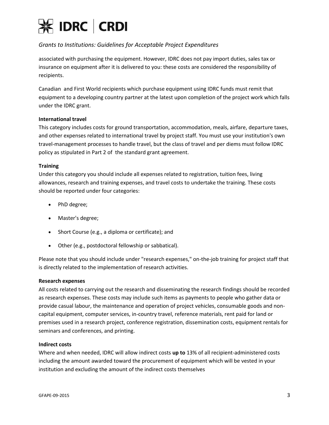

## *Grants to Institutions: Guidelines for Acceptable Project Expenditures*

associated with purchasing the equipment. However, IDRC does not pay import duties, sales tax or insurance on equipment after it is delivered to you: these costs are considered the responsibility of recipients.

Canadian and First World recipients which purchase equipment using IDRC funds must remit that equipment to a developing country partner at the latest upon completion of the project work which falls under the IDRC grant.

#### <span id="page-2-0"></span>**International travel**

This category includes costs for ground transportation, accommodation, meals, airfare, departure taxes, and other expenses related to international travel by project staff. You must use your institution's own travel-management processes to handle travel, but the class of travel and per diems must follow IDRC policy as stipulated in Part 2 of the standard grant agreement.

#### <span id="page-2-1"></span>**Training**

Under this category you should include all expenses related to registration, tuition fees, living allowances, research and training expenses, and travel costs to undertake the training. These costs should be reported under four categories:

- PhD degree;
- Master's degree;
- Short Course (e.g., a diploma or certificate); and
- Other (e.g., postdoctoral fellowship or sabbatical).

Please note that you should include under "research expenses," on-the-job training for project staff that is directly related to the implementation of research activities.

#### <span id="page-2-2"></span>**Research expenses**

All costs related to carrying out the research and disseminating the research findings should be recorded as research expenses. These costs may include such items as payments to people who gather data or provide casual labour, the maintenance and operation of project vehicles, consumable goods and noncapital equipment, computer services, in-country travel, reference materials, rent paid for land or premises used in a research project, conference registration, dissemination costs, equipment rentals for seminars and conferences, and printing.

#### <span id="page-2-3"></span>**Indirect costs**

Where and when needed, IDRC will allow indirect costs **up to** 13% of all recipient-administered costs including the amount awarded toward the procurement of equipment which will be vested in your institution and excluding the amount of the indirect costs themselves